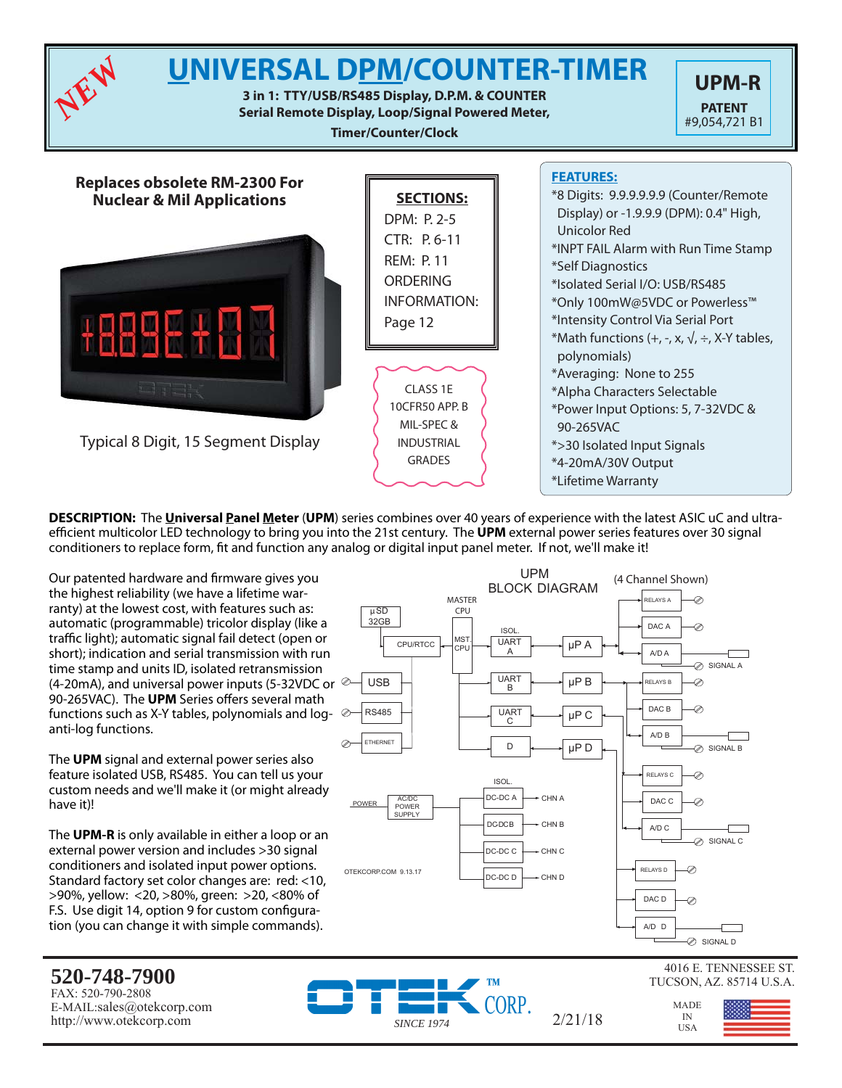

**DESCRIPTION:** The **Universal Panel Meter** (**UPM**) series combines over 40 years of experience with the latest ASIC uC and ultraefficient multicolor LED technology to bring you into the 21st century. The **UPM** external power series features over 30 signal conditioners to replace form, fi t and function any analog or digital input panel meter. If not, we'll make it!

Our patented hardware and firmware gives you the highest reliability (we have a lifetime warranty) at the lowest cost, with features such as: automatic (programmable) tricolor display (like a traffic light); automatic signal fail detect (open or short); indication and serial transmission with run time stamp and units ID, isolated retransmission (4-20mA), and universal power inputs (5-32VDC or  $\infty$ 90-265VAC). The **UPM** Series offers several math functions such as X-Y tables, polynomials and loganti-log functions.

The **UPM** signal and external power series also feature isolated USB, RS485. You can tell us your custom needs and we'll make it (or might already have it)!

The **UPM-R** is only available in either a loop or an external power version and includes >30 signal conditioners and isolated input power options. Standard factory set color changes are: red: <10, >90%, yellow: <20, >80%, green: >20, <80% of F.S. Use digit 14, option 9 for custom configuration (you can change it with simple commands).



4016 E. TENNESSEE ST. TUCSON, AZ. 85714 U.S.A.

> MADE IN<br>USA

#### **520-748-7900** FAX: 520-790-2808 E-MAIL:sales@otekcorp.com http://www.otekcorp.com *SINCE 1974*

CORP.

 $2/21/18$ 

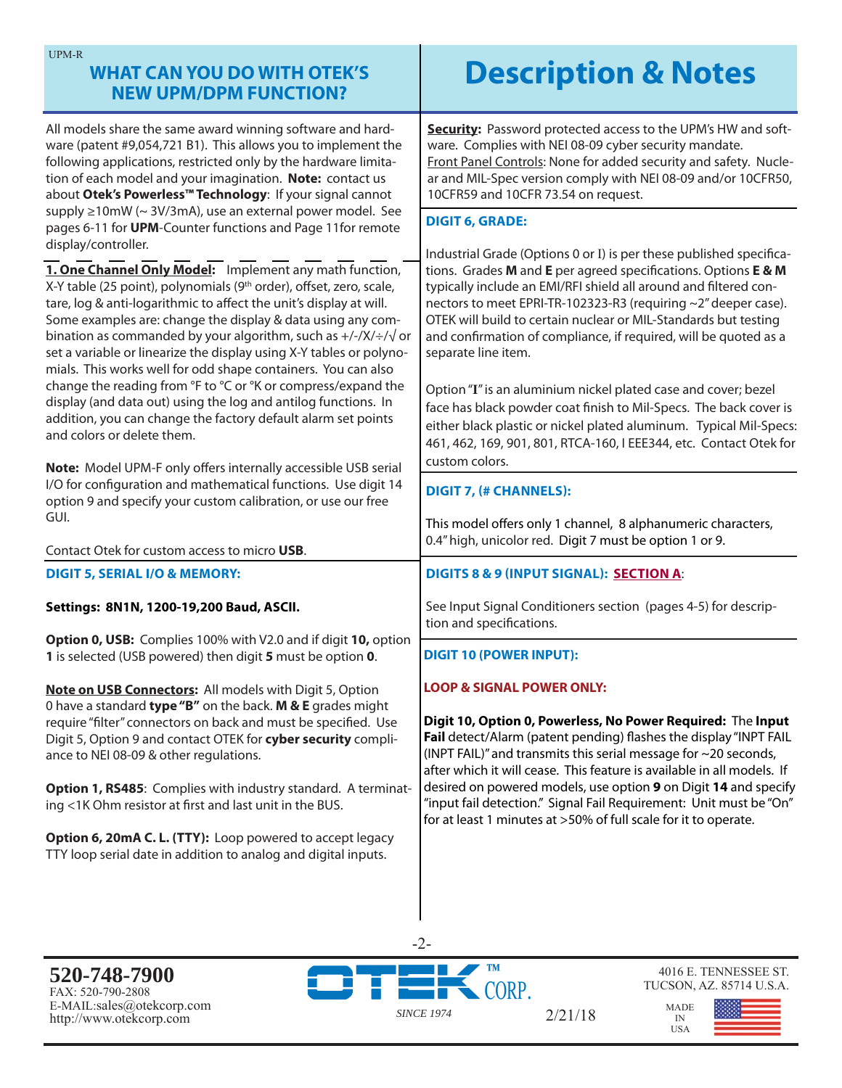# **WHAT CAN YOU DO WITH OTEK'S NEW UPM/DPM FUNCTION?**

All models share the same award winning software and hardware (patent #9,054,721 B1). This allows you to implement the following applications, restricted only by the hardware limitation of each model and your imagination. **Note:** contact us about **Otek's Powerless™ Technology**: If your signal cannot supply ≥10mW (~ 3V/3mA), use an external power model. See pages 6-11 for **UPM**-Counter functions and Page 11for remote display/controller.

**1. One Channel Only Model:** Implement any math function, X-Y table (25 point), polynomials (9<sup>th</sup> order), offset, zero, scale, tare, log & anti-logarithmic to affect the unit's display at will. Some examples are: change the display & data using any combination as commanded by your algorithm, such as  $+/-/X/}/\sqrt{\sigma}$ set a variable or linearize the display using X-Y tables or polynomials. This works well for odd shape containers. You can also change the reading from °F to °C or °K or compress/expand the display (and data out) using the log and antilog functions. In addition, you can change the factory default alarm set points and colors or delete them.

**Note:** Model UPM-F only offers internally accessible USB serial I/O for configuration and mathematical functions. Use digit 14 option 9 and specify your custom calibration, or use our free GUI.

Contact Otek for custom access to micro **USB**.

### **DIGIT 5, SERIAL I/O & MEMORY:**

### **Settings: 8N1N, 1200-19,200 Baud, ASCII.**

**Option 0, USB:** Complies 100% with V2.0 and if digit **10,** option **1** is selected (USB powered) then digit **5** must be option **0**.

**Note on USB Connectors:** All models with Digit 5, Option 0 have a standard **type "B"** on the back. **M & E** grades might require "filter" connectors on back and must be specified. Use Digit 5, Option 9 and contact OTEK for **cyber security** compliance to NEI 08-09 & other regulations.

**Option 1, RS485**: Complies with industry standard. A terminating <1K Ohm resistor at first and last unit in the BUS.

**Option 6, 20mA C. L. (TTY):** Loop powered to accept legacy TTY loop serial date in addition to analog and digital inputs.

# **Description & Notes**

**Security:** Password protected access to the UPM's HW and software. Complies with NEI 08-09 cyber security mandate. Front Panel Controls: None for added security and safety. Nuclear and MIL-Spec version comply with NEI 08-09 and/or 10CFR50, 10CFR59 and 10CFR 73.54 on request.

#### **DIGIT 6, GRADE:**

Industrial Grade (Options 0 or I) is per these published specifications. Grades **M** and **E** per agreed specifications. Options **E & M** typically include an EMI/RFI shield all around and filtered connectors to meet EPRI-TR-102323-R3 (requiring ~2" deeper case). OTEK will build to certain nuclear or MIL-Standards but testing and confirmation of compliance, if required, will be quoted as a separate line item.

Option "**I**" is an aluminium nickel plated case and cover; bezel face has black powder coat finish to Mil-Specs. The back cover is either black plastic or nickel plated aluminum. Typical Mil-Specs: 461, 462, 169, 901, 801, RTCA-160, I EEE344, etc. Contact Otek for custom colors.

### **DIGIT 7, (# CHANNELS):**

This model offers only 1 channel, 8 alphanumeric characters, 0.4" high, unicolor red. Digit 7 must be option 1 or 9.

### **DIGITS 8 & 9 (INPUT SIGNAL): SECTION A**:

See Input Signal Conditioners section (pages 4-5) for description and specifications.

### **DIGIT 10 (POWER INPUT):**

#### **LOOP & SIGNAL POWER ONLY:**

**Digit 10, Option 0, Powerless, No Power Required:** The **Input**  Fail detect/Alarm (patent pending) flashes the display "INPT FAIL (INPT FAIL)" and transmits this serial message for ~20 seconds, after which it will cease. This feature is available in all models. If desired on powered models, use option **9** on Digit **14** and specify "input fail detection." Signal Fail Requirement: Unit must be "On" for at least 1 minutes at >50% of full scale for it to operate.

2/21/18

**520-748-7900** FAX: 520-790-2808 E-MAIL:sales@otekcorp.com http://www.otekcorp.com *SINCE 1974*



4016 E. TENNESSEE ST. TUCSON, AZ. 85714 U.S.A.

> MADE IN USA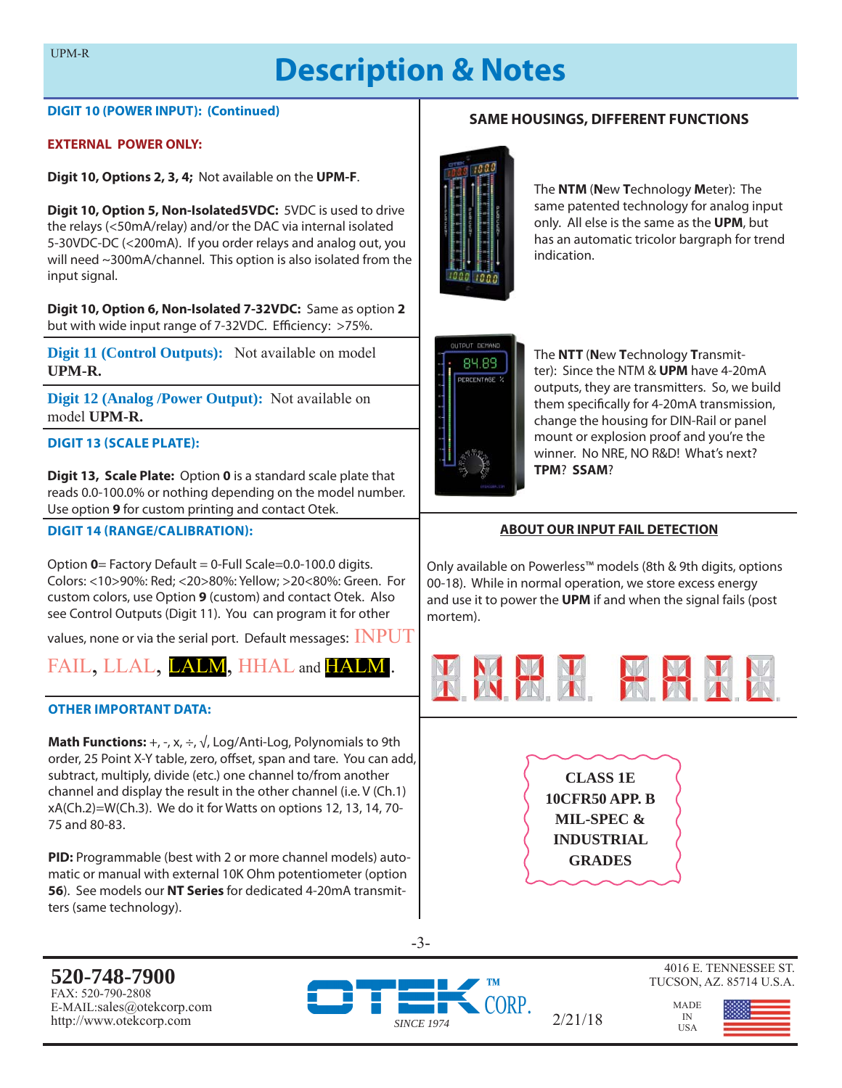# **Description & Notes**

#### **DIGIT 10 (POWER INPUT): (Continued)**

#### **EXTERNAL POWER ONLY:**

**Digit 10, Options 2, 3, 4;** Not available on the **UPM-F**.

**Digit 10, Option 5, Non-Isolated5VDC:** 5VDC is used to drive the relays (<50mA/relay) and/or the DAC via internal isolated 5-30VDC-DC (<200mA). If you order relays and analog out, you will need ~300mA/channel. This option is also isolated from the input signal.

**Digit 10, Option 6, Non-Isolated 7-32VDC:** Same as option **2**  but with wide input range of 7-32VDC. Efficiency: >75%.

**Digit 11 (Control Outputs):** Not available on model **UPM-R.**

**Digit 12 (Analog /Power Output):** Not available on model **UPM-R.**

#### **DIGIT 13 (SCALE PLATE):**

**Digit 13, Scale Plate:** Option **0** is a standard scale plate that reads 0.0-100.0% or nothing depending on the model number. Use option **9** for custom printing and contact Otek.

#### **DIGIT 14 (RANGE/CALIBRATION):**

Option **0**= Factory Default = 0-Full Scale=0.0-100.0 digits. Colors: <10>90%: Red; <20>80%: Yellow; >20<80%: Green. For custom colors, use Option **9** (custom) and contact Otek. Also see Control Outputs (Digit 11). You can program it for other

values, none or via the serial port. Default messages:  $INPUT$ 

FAIL, LLAL, LALM, HHAL and HALM.

#### **OTHER IMPORTANT DATA:**

**Math Functions:**  $+$ ,  $-$ ,  $x$ ,  $\div$ ,  $\sqrt{ }$ , Log/Anti-Log, Polynomials to 9th order, 25 Point X-Y table, zero, offset, span and tare. You can add, subtract, multiply, divide (etc.) one channel to/from another channel and display the result in the other channel (i.e. V (Ch.1) xA(Ch.2)=W(Ch.3). We do it for Watts on options 12, 13, 14, 70- 75 and 80-83.

**PID:** Programmable (best with 2 or more channel models) automatic or manual with external 10K Ohm potentiometer (option **56**). See models our **NT Series** for dedicated 4-20mA transmitters (same technology).

The **NTM** (**N**ew **T**echnology **M**eter): The same patented technology for analog input only. All else is the same as the **UPM**, but has an automatic tricolor bargraph for trend indication.

**SAME HOUSINGS, DIFFERENT FUNCTIONS**



The **NTT** (**N**ew **T**echnology **T**ransmitter): Since the NTM & **UPM** have 4-20mA outputs, they are transmitters. So, we build them specifically for 4-20mA transmission, change the housing for DIN-Rail or panel mount or explosion proof and you're the winner. No NRE, NO R&D! What's next? **TPM**? **SSAM**?

#### **ABOUT OUR INPUT FAIL DETECTION**

Only available on Powerless™ models (8th & 9th digits, options 00-18). While in normal operation, we store excess energy and use it to power the **UPM** if and when the signal fails (post mortem).



**CLASS 1E 10CFR50 APP. B MIL-SPEC & INDUSTRIAL GRADES**

4016 E. TENNESSEE ST. TUCSON, AZ. 85714 U.S.A.

> MADE IN<br>USA

-3-

**520-748-7900** FAX: 520-790-2808 E-MAIL:sales@otekcorp.com

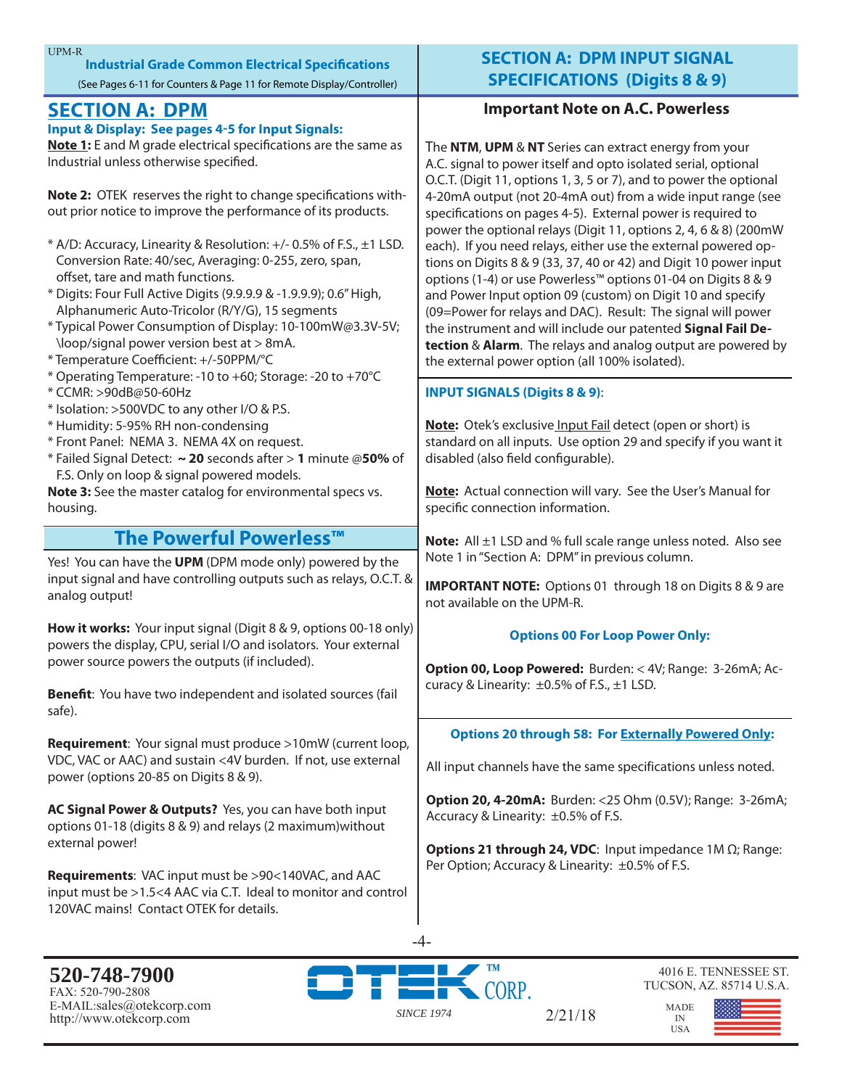|                                                                                                                                                                                                                                                                   | <b>UPM-R</b><br><b>Industrial Grade Common Electrical Specifications</b><br>(See Pages 6-11 for Counters & Page 11 for Remote Display/Controller)                                                                                                                                                                                                                                                                                                                                                                                                                                                                                                                                                                                                                                                                                                                                                                                                                                                    | <b>SECTION A: DP</b><br><b>SPECIFICATION</b>                                                                                                                                                                                                                                                                                                                                                                                                                                                                                                                                                                                                  |
|-------------------------------------------------------------------------------------------------------------------------------------------------------------------------------------------------------------------------------------------------------------------|------------------------------------------------------------------------------------------------------------------------------------------------------------------------------------------------------------------------------------------------------------------------------------------------------------------------------------------------------------------------------------------------------------------------------------------------------------------------------------------------------------------------------------------------------------------------------------------------------------------------------------------------------------------------------------------------------------------------------------------------------------------------------------------------------------------------------------------------------------------------------------------------------------------------------------------------------------------------------------------------------|-----------------------------------------------------------------------------------------------------------------------------------------------------------------------------------------------------------------------------------------------------------------------------------------------------------------------------------------------------------------------------------------------------------------------------------------------------------------------------------------------------------------------------------------------------------------------------------------------------------------------------------------------|
|                                                                                                                                                                                                                                                                   | <b>SECTION A: DPM</b><br><b>Input &amp; Display: See pages 4-5 for Input Signals:</b><br>Note 1: E and M grade electrical specifications are the same as<br>Industrial unless otherwise specified.                                                                                                                                                                                                                                                                                                                                                                                                                                                                                                                                                                                                                                                                                                                                                                                                   | <b>Important Note</b><br>The NTM, UPM & NT Series car<br>A.C. signal to power itself and c<br>O.C.T. (Digit 11, options 1, 3, 5 c                                                                                                                                                                                                                                                                                                                                                                                                                                                                                                             |
|                                                                                                                                                                                                                                                                   | Note 2: OTEK reserves the right to change specifications with-<br>out prior notice to improve the performance of its products.<br>* A/D: Accuracy, Linearity & Resolution: +/- 0.5% of F.S., ±1 LSD.<br>Conversion Rate: 40/sec, Averaging: 0-255, zero, span,<br>offset, tare and math functions.<br>* Digits: Four Full Active Digits (9.9.9.9 & -1.9.9.9); 0.6" High,<br>Alphanumeric Auto-Tricolor (R/Y/G), 15 segments<br>* Typical Power Consumption of Display: 10-100mW@3.3V-5V;<br>\loop/signal power version best at > 8mA.<br>* Temperature Coefficient: +/-50PPM/°C<br>* Operating Temperature: -10 to +60; Storage: -20 to +70°C<br>* CCMR: >90dB@50-60Hz<br>* Isolation: >500VDC to any other I/O & P.S.<br>* Humidity: 5-95% RH non-condensing<br>* Front Panel: NEMA 3. NEMA 4X on request.<br>* Failed Signal Detect: ~ 20 seconds after > 1 minute @50% of<br>F.S. Only on loop & signal powered models.<br>Note 3: See the master catalog for environmental specs vs.<br>housing. | 4-20mA output (not 20-4mA ou<br>specifications on pages 4-5). Ex<br>power the optional relays (Digi<br>each). If you need relays, either<br>tions on Digits 8 & 9 (33, 37, 40)<br>options (1-4) or use Powerless <sup>™</sup><br>and Power Input option 09 (cus<br>(09=Power for relays and DAC).<br>the instrument and will include<br>tection & Alarm. The relays an<br>the external power option (all 1<br><b>INPUT SIGNALS (Digits 8 &amp; 9):</b><br>Note: Otek's exclusive Input Fa<br>standard on all inputs. Use opt<br>disabled (also field configurable<br><b>Note:</b> Actual connection will v<br>specific connection information |
|                                                                                                                                                                                                                                                                   | The Powerful Powerless™                                                                                                                                                                                                                                                                                                                                                                                                                                                                                                                                                                                                                                                                                                                                                                                                                                                                                                                                                                              | <b>Note:</b> All ±1 LSD and % full sca                                                                                                                                                                                                                                                                                                                                                                                                                                                                                                                                                                                                        |
|                                                                                                                                                                                                                                                                   | Yes! You can have the UPM (DPM mode only) powered by the<br>input signal and have controlling outputs such as relays, O.C.T. &<br>analog output!                                                                                                                                                                                                                                                                                                                                                                                                                                                                                                                                                                                                                                                                                                                                                                                                                                                     | Note 1 in "Section A: DPM" in p<br><b>IMPORTANT NOTE: Options 0</b><br>not available on the UPM-R.                                                                                                                                                                                                                                                                                                                                                                                                                                                                                                                                            |
| How it works: Your input signal (Digit 8 & 9, options 00-18 only)<br>powers the display, CPU, serial I/O and isolators. Your external<br>power source powers the outputs (if included).<br>Benefit: You have two independent and isolated sources (fail<br>safe). |                                                                                                                                                                                                                                                                                                                                                                                                                                                                                                                                                                                                                                                                                                                                                                                                                                                                                                                                                                                                      | <b>Options 00 For</b><br>Option 00, Loop Powered: Bu<br>curacy & Linearity: ±0.5% of F.9                                                                                                                                                                                                                                                                                                                                                                                                                                                                                                                                                      |
|                                                                                                                                                                                                                                                                   |                                                                                                                                                                                                                                                                                                                                                                                                                                                                                                                                                                                                                                                                                                                                                                                                                                                                                                                                                                                                      | <b>Options 20 through 58: F</b>                                                                                                                                                                                                                                                                                                                                                                                                                                                                                                                                                                                                               |

VDC, VAC or AAC) and sustain <4V burden. If not, use external power (options 20-85 on Digits 8 & 9).

**AC Signal Power & Outputs?** Yes, you can have both input options 01-18 (digits 8 & 9) and relays (2 maximum)without external power!

**Requirements**: VAC input must be >90<140VAC, and AAC input must be >1.5<4 AAC via C.T. Ideal to monitor and control 120VAC mains! Contact OTEK for details.

# **MINPUT SIGNAL S** (Digits 8 & 9)

# **Important Note on A.C. Powerless**

**Prime X** and **EXT A** contract energy from your pto isolated serial, optional or 7), and to power the optional at) from a wide input range (see sternal power is required to t 11, options 2, 4, 6 & 8) (200mW use the external powered opor 42) and Digit 10 power input  $^{\circ}$  options 01-04 on Digits 8 & 9 atom) on Digit 10 and specify Result: The signal will power our patented Signal Fail De**the** analog output are powered by 00% isolated).

# **INPUT SIGNALS (Digits 8 & 9)**:

**il detect (open or short) is** tion 29 and specify if you want it disabled (also field configurable).

ary. See the User's Manual for specific connection information.

le range unless noted. Also see revious column

1 through 18 on Digits 8 & 9 are

# **Loop Power Only:**

**Option 00, Loop Powered:** Burden: < 4V; Range: 3-26mA; Ac $s_{1}$   $\pm$ 1 LSD.

# **Optimize 3 For Externally Powered Only:**

All input channels have the same specifications unless noted.

**Option 20, 4-20mA:** Burden: <25 Ohm (0.5V); Range: 3-26mA; Accuracy & Linearity: ±0.5% of F.S.

**Options 21 through 24, VDC**: Input impedance 1M Ω; Range: Per Option; Accuracy & Linearity: ±0.5% of F.S.

2/21/18

**520-748-7900** FAX: 520-790-2808 E-MAIL:sales@otekcorp.com http://www.otekcorp.com *SINCE 1974*



4016 E. TENNESSEE ST. TUCSON, AZ. 85714 U.S.A.

MADE IN USA

-4-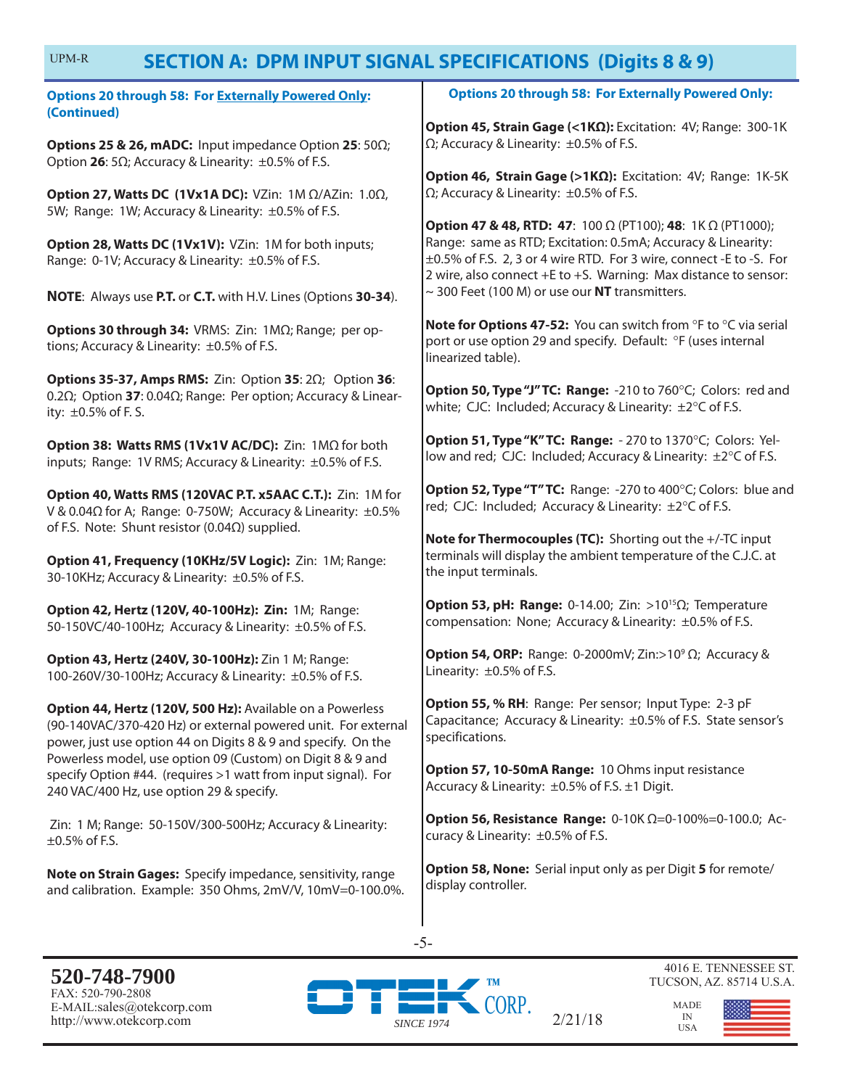#### **SECTION A: DPM INPUT SIGNAL SPECIFICATIONS (Digits 8 & 9)** UPM-R

|                                                                                                                                                                                             | SECTION A: DEMINEUT SIGNAL SEECIFICATIONS (DIGILS 0 & 9)                                                                                                                                                                                                                                      |  |
|---------------------------------------------------------------------------------------------------------------------------------------------------------------------------------------------|-----------------------------------------------------------------------------------------------------------------------------------------------------------------------------------------------------------------------------------------------------------------------------------------------|--|
| <b>Options 20 through 58: For Externally Powered Only:</b><br>(Continued)                                                                                                                   | <b>Options 20 through 58: For Externally Powered Only:</b>                                                                                                                                                                                                                                    |  |
| Options 25 & 26, mADC: Input impedance Option 25: 500;<br>Option 26: 5 $\Omega$ ; Accuracy & Linearity: $\pm 0.5\%$ of F.S.                                                                 | Option 45, Strain Gage (<1ΚΩ): Excitation: 4V; Range: 300-1K<br>$\Omega$ ; Accuracy & Linearity: $\pm 0.5\%$ of F.S.                                                                                                                                                                          |  |
| Option 27, Watts DC (1Vx1A DC): VZin: 1M Ω/AZin: 1.0Ω,                                                                                                                                      | Option 46, Strain Gage (>1ΚΩ): Excitation: 4V; Range: 1K-5K<br>$\Omega$ ; Accuracy & Linearity: $\pm 0.5\%$ of F.S.                                                                                                                                                                           |  |
| 5W; Range: 1W; Accuracy & Linearity: ±0.5% of F.S.<br>Option 28, Watts DC (1Vx1V): VZin: 1M for both inputs;<br>Range: 0-1V; Accuracy & Linearity: ±0.5% of F.S.                            | <b>Option 47 &amp; 48, RTD: 47:</b> 100 $\Omega$ (PT100); 48: 1K $\Omega$ (PT1000);<br>Range: same as RTD; Excitation: 0.5mA; Accuracy & Linearity:<br>±0.5% of F.S. 2, 3 or 4 wire RTD. For 3 wire, connect -E to -S. For<br>2 wire, also connect +E to +S. Warning: Max distance to sensor: |  |
| NOTE: Always use P.T. or C.T. with H.V. Lines (Options 30-34).                                                                                                                              | $\sim$ 300 Feet (100 M) or use our NT transmitters.                                                                                                                                                                                                                                           |  |
| Options 30 through 34: VRMS: Zin: 1MQ; Range; per op-<br>tions; Accuracy & Linearity: ±0.5% of F.S.                                                                                         | Note for Options 47-52: You can switch from °F to °C via serial<br>port or use option 29 and specify. Default: °F (uses internal<br>linearized table).                                                                                                                                        |  |
| <b>Options 35-37, Amps RMS:</b> Zin: Option 35: $2\Omega$ ; Option 36:<br>0.2 $\Omega$ ; Option 37: 0.04 $\Omega$ ; Range: Per option; Accuracy & Linear-<br>ity: ±0.5% of F.S.             | Option 50, Type "J" TC: Range: -210 to 760°C; Colors: red and<br>white; CJC: Included; Accuracy & Linearity: ±2°C of F.S.                                                                                                                                                                     |  |
| Option 38: Watts RMS (1Vx1V AC/DC): Zin: 1MΩ for both<br>inputs; Range: 1V RMS; Accuracy & Linearity: ±0.5% of F.S.                                                                         | Option 51, Type "K" TC: Range: - 270 to 1370°C; Colors: Yel-<br>low and red; CJC: Included; Accuracy & Linearity: ±2°C of F.S.                                                                                                                                                                |  |
| Option 40, Watts RMS (120VAC P.T. x5AAC C.T.): Zin: 1M for<br>V & 0.04Ω for A; Range: 0-750W; Accuracy & Linearity: ±0.5%                                                                   | Option 52, Type "T" TC: Range: -270 to 400°C; Colors: blue and<br>red; CJC: Included; Accuracy & Linearity: ±2°C of F.S.                                                                                                                                                                      |  |
| of F.S. Note: Shunt resistor (0.04 $\Omega$ ) supplied.<br>Option 41, Frequency (10KHz/5V Logic): Zin: 1M; Range:<br>30-10KHz; Accuracy & Linearity: ±0.5% of F.S.                          | Note for Thermocouples (TC): Shorting out the +/-TC input<br>terminals will display the ambient temperature of the C.J.C. at<br>the input terminals.                                                                                                                                          |  |
| Option 42, Hertz (120V, 40-100Hz): Zin: 1M; Range:<br>50-150VC/40-100Hz; Accuracy & Linearity: ±0.5% of F.S.                                                                                | Option 53, pH: Range: 0-14.00; Zin: >10 <sup>15</sup> $\Omega$ ; Temperature<br>compensation: None; Accuracy & Linearity: ±0.5% of F.S.                                                                                                                                                       |  |
| Option 43, Hertz (240V, 30-100Hz): Zin 1 M; Range:<br>100-260V/30-100Hz; Accuracy & Linearity: ±0.5% of F.S.                                                                                | <b>Option 54, ORP:</b> Range: 0-2000mV; Zin:>10 <sup>9</sup> $\Omega$ ; Accuracy &<br>Linearity: ±0.5% of F.S.                                                                                                                                                                                |  |
| Option 44, Hertz (120V, 500 Hz): Available on a Powerless<br>(90-140VAC/370-420 Hz) or external powered unit. For external<br>power, just use option 44 on Digits 8 & 9 and specify. On the | Option 55, % RH: Range: Per sensor; Input Type: 2-3 pF<br>Capacitance; Accuracy & Linearity: ±0.5% of F.S. State sensor's<br>specifications.                                                                                                                                                  |  |
| Powerless model, use option 09 (Custom) on Digit 8 & 9 and<br>specify Option #44. (requires >1 watt from input signal). For<br>240 VAC/400 Hz, use option 29 & specify.                     | Option 57, 10-50mA Range: 10 Ohms input resistance<br>Accuracy & Linearity: ±0.5% of F.S. ±1 Digit.                                                                                                                                                                                           |  |
| Zin: 1 M; Range: 50-150V/300-500Hz; Accuracy & Linearity:<br>$\pm 0.5\%$ of F.S.                                                                                                            | <b>Option 56, Resistance Range:</b> 0-10K $\Omega$ =0-100%=0-100.0; Ac-<br>curacy & Linearity: ±0.5% of F.S.                                                                                                                                                                                  |  |
| Note on Strain Gages: Specify impedance, sensitivity, range<br>and calibration. Example: 350 Ohms, 2mV/V, 10mV=0-100.0%.                                                                    | Option 58, None: Serial input only as per Digit 5 for remote/<br>display controller.                                                                                                                                                                                                          |  |
|                                                                                                                                                                                             | $-5-$                                                                                                                                                                                                                                                                                         |  |
|                                                                                                                                                                                             |                                                                                                                                                                                                                                                                                               |  |
| 520-748-7900                                                                                                                                                                                | 4016 E. TENNESSEE ST.<br>TUCSON, AZ. 85714 U.S.A.<br>TM                                                                                                                                                                                                                                       |  |

FAX: 520-790-2808 E-MAIL:sales@otekcorp.com http://www.otekcorp.com *SINCE 1974*



MADE  $\frac{IN}{USA}$ 

 $2/21/18$ 

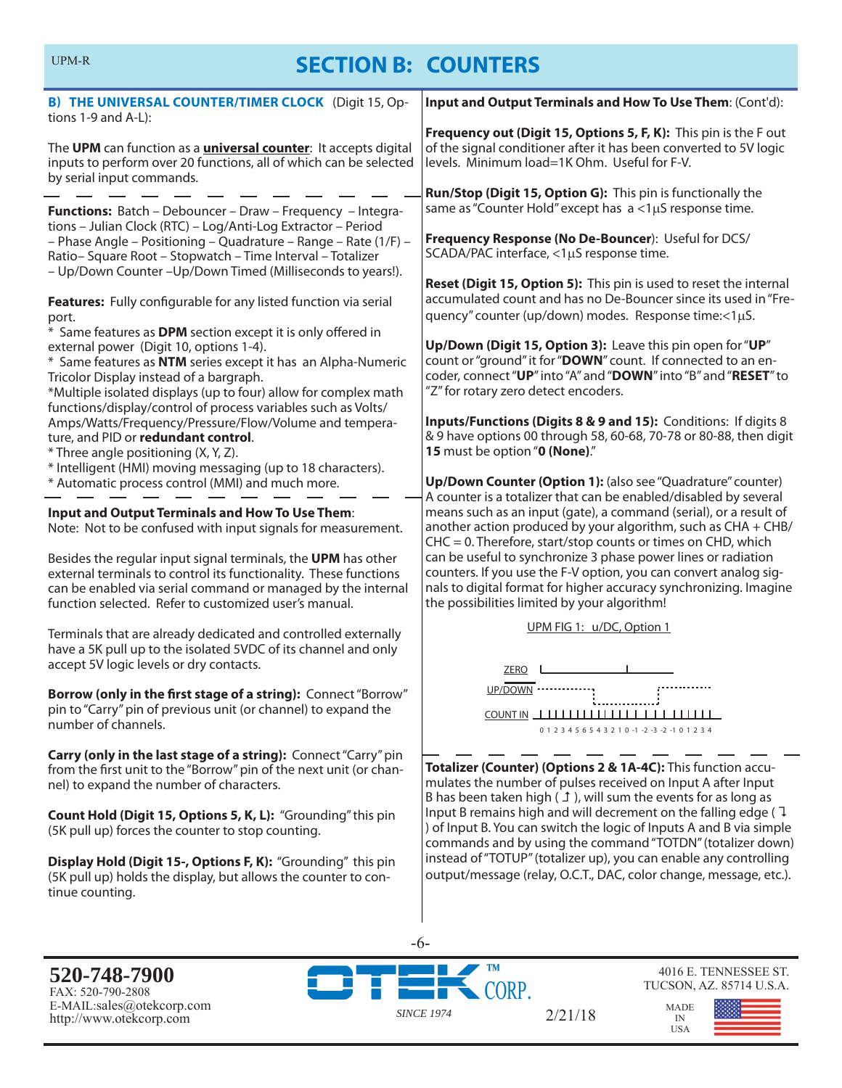# **SECTION B: COUNTERS**

| <b>B) THE UNIVERSAL COUNTER/TIMER CLOCK</b> (Digit 15, Op-<br>tions 1-9 and A-L):                                                                                                                                                                                                                                                                                                                                                                                                                                                                                               | Input and Output Terminals and How To Use Them: (Cont'd):                                                                                                                                                                                                                                                                                                                                                                                                                                                                                                       |  |
|---------------------------------------------------------------------------------------------------------------------------------------------------------------------------------------------------------------------------------------------------------------------------------------------------------------------------------------------------------------------------------------------------------------------------------------------------------------------------------------------------------------------------------------------------------------------------------|-----------------------------------------------------------------------------------------------------------------------------------------------------------------------------------------------------------------------------------------------------------------------------------------------------------------------------------------------------------------------------------------------------------------------------------------------------------------------------------------------------------------------------------------------------------------|--|
| The UPM can function as a <i>universal counter</i> : It accepts digital<br>inputs to perform over 20 functions, all of which can be selected<br>by serial input commands.                                                                                                                                                                                                                                                                                                                                                                                                       | Frequency out (Digit 15, Options 5, F, K): This pin is the F out<br>of the signal conditioner after it has been converted to 5V logic<br>levels. Minimum load=1K Ohm. Useful for F-V.                                                                                                                                                                                                                                                                                                                                                                           |  |
| Functions: Batch - Debouncer - Draw - Frequency - Integra-<br>tions - Julian Clock (RTC) - Log/Anti-Log Extractor - Period<br>- Phase Angle - Positioning - Quadrature - Range - Rate (1/F) -<br>Ratio-Square Root - Stopwatch - Time Interval - Totalizer<br>- Up/Down Counter - Up/Down Timed (Milliseconds to years!).<br>Features: Fully configurable for any listed function via serial<br>port.<br>* Same features as DPM section except it is only offered in<br>external power (Digit 10, options 1-4).<br>* Same features as NTM series except it has an Alpha-Numeric | Run/Stop (Digit 15, Option G): This pin is functionally the<br>same as "Counter Hold" except has a <1µS response time.<br>Frequency Response (No De-Bouncer): Useful for DCS/<br>SCADA/PAC interface, <1µS response time.<br>Reset (Digit 15, Option 5): This pin is used to reset the internal<br>accumulated count and has no De-Bouncer since its used in "Fre-<br>quency" counter (up/down) modes. Response time:<1µS.<br>Up/Down (Digit 15, Option 3): Leave this pin open for "UP"<br>count or "ground" it for "DOWN" count. If connected to an en-       |  |
| Tricolor Display instead of a bargraph.<br>*Multiple isolated displays (up to four) allow for complex math<br>functions/display/control of process variables such as Volts/<br>Amps/Watts/Frequency/Pressure/Flow/Volume and tempera-<br>ture, and PID or redundant control.<br>* Three angle positioning (X, Y, Z).<br>* Intelligent (HMI) moving messaging (up to 18 characters).<br>* Automatic process control (MMI) and much more.                                                                                                                                         | coder, connect "UP" into "A" and "DOWN" into "B" and "RESET" to<br>"Z" for rotary zero detect encoders.<br>Inputs/Functions (Digits 8 & 9 and 15): Conditions: If digits 8<br>& 9 have options 00 through 58, 60-68, 70-78 or 80-88, then digit<br>15 must be option "0 (None)."<br>Up/Down Counter (Option 1): (also see "Quadrature" counter)<br>A counter is a totalizer that can be enabled/disabled by several                                                                                                                                             |  |
| Input and Output Terminals and How To Use Them:<br>Note: Not to be confused with input signals for measurement.<br>Besides the regular input signal terminals, the UPM has other<br>external terminals to control its functionality. These functions<br>can be enabled via serial command or managed by the internal<br>function selected. Refer to customized user's manual.                                                                                                                                                                                                   | means such as an input (gate), a command (serial), or a result of<br>another action produced by your algorithm, such as CHA + CHB/<br>$CHC = 0$ . Therefore, start/stop counts or times on CHD, which<br>can be useful to synchronize 3 phase power lines or radiation<br>counters. If you use the F-V option, you can convert analog sig-<br>nals to digital format for higher accuracy synchronizing. Imagine<br>the possibilities limited by your algorithm!                                                                                                 |  |
| Terminals that are already dedicated and controlled externally<br>have a 5K pull up to the isolated 5VDC of its channel and only<br>accept 5V logic levels or dry contacts.<br>Borrow (only in the first stage of a string): Connect "Borrow"<br>pin to "Carry" pin of previous unit (or channel) to expand the<br>number of channels.                                                                                                                                                                                                                                          | UPM FIG 1: u/DC, Option 1<br><b>ZERO</b><br>UP/DOWN<br>0 1 2 3 4 5 6 5 4 3 2 1 0 -1 -2 -3 -2 -1 0 1 2 3 4                                                                                                                                                                                                                                                                                                                                                                                                                                                       |  |
| Carry (only in the last stage of a string): Connect "Carry" pin<br>from the first unit to the "Borrow" pin of the next unit (or chan-<br>nel) to expand the number of characters.<br>Count Hold (Digit 15, Options 5, K, L): "Grounding" this pin<br>(5K pull up) forces the counter to stop counting.<br>Display Hold (Digit 15-, Options F, K): "Grounding" this pin<br>(5K pull up) holds the display, but allows the counter to con-<br>tinue counting.                                                                                                                     | Totalizer (Counter) (Options 2 & 1A-4C): This function accu-<br>mulates the number of pulses received on Input A after Input<br>B has been taken high $(1)$ , will sum the events for as long as<br>Input B remains high and will decrement on the falling edge ( $\overline{1}$<br>) of Input B. You can switch the logic of Inputs A and B via simple<br>commands and by using the command "TOTDN" (totalizer down)<br>instead of "TOTUP" (totalizer up), you can enable any controlling<br>output/message (relay, O.C.T., DAC, color change, message, etc.). |  |
|                                                                                                                                                                                                                                                                                                                                                                                                                                                                                                                                                                                 | -6-                                                                                                                                                                                                                                                                                                                                                                                                                                                                                                                                                             |  |

**520-748-7900** FAX: 520-790-2808 E-MAIL:sales@otekcorp.com http://www.otekcorp.com *SINCE 1974*



2/21/18

4016 E. TENNESSEE ST. TUCSON, AZ. 85714 U.S.A.

MADE IN USA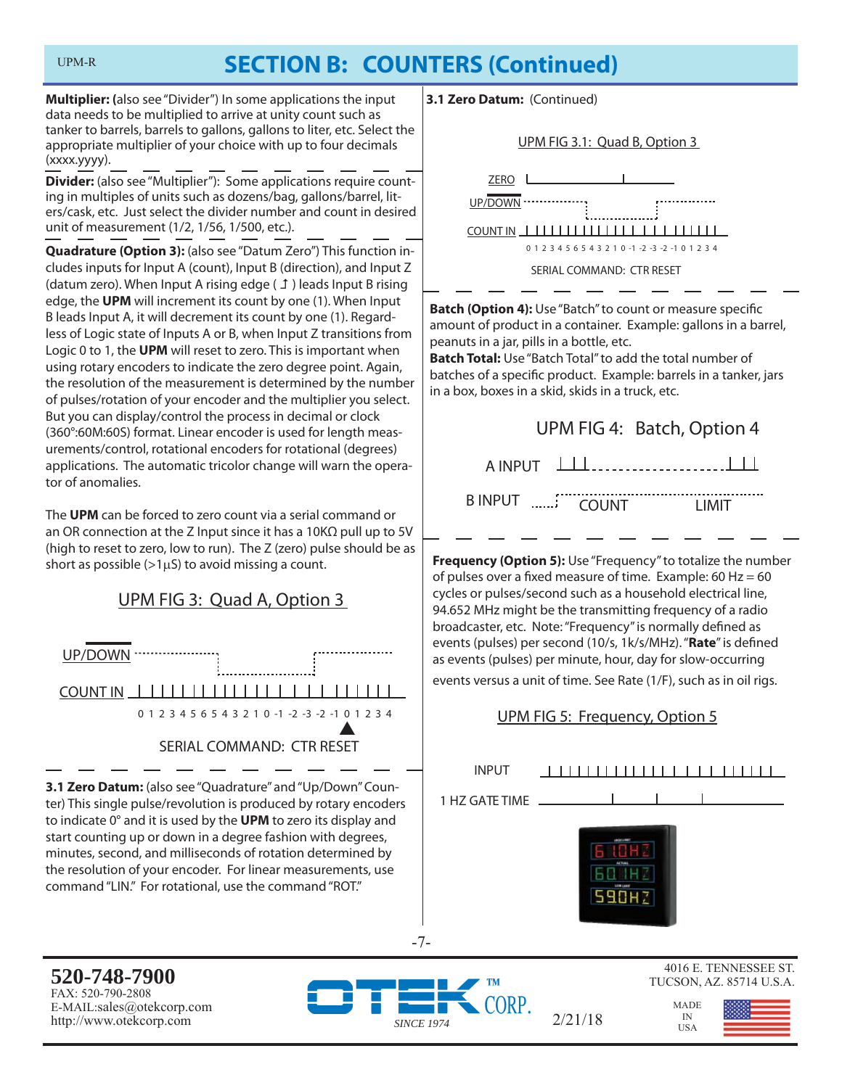# **SECTION B: COUNTERS (Continued)**

**Multiplier: (**also see "Divider") In some applications the input data needs to be multiplied to arrive at unity count such as tanker to barrels, barrels to gallons, gallons to liter, etc. Select the appropriate multiplier of your choice with up to four decimals (xxxx.yyyy).

**Divider:** (also see "Multiplier"): Some applications require counting in multiples of units such as dozens/bag, gallons/barrel, liters/cask, etc. Just select the divider number and count in desired unit of measurement (1/2, 1/56, 1/500, etc.).

**Quadrature (Option 3):** (also see "Datum Zero") This function includes inputs for Input A (count), Input B (direction), and Input Z (datum zero). When Input A rising edge  $(f)$ ) leads Input B rising edge, the **UPM** will increment its count by one (1). When Input B leads Input A, it will decrement its count by one (1). Regardless of Logic state of Inputs A or B, when Input Z transitions from Logic 0 to 1, the **UPM** will reset to zero. This is important when using rotary encoders to indicate the zero degree point. Again, the resolution of the measurement is determined by the number of pulses/rotation of your encoder and the multiplier you select. But you can display/control the process in decimal or clock (360°:60M:60S) format. Linear encoder is used for length measurements/control, rotational encoders for rotational (degrees) applications. The automatic tricolor change will warn the operator of anomalies.

The **UPM** can be forced to zero count via a serial command or an OR connection at the Z Input since it has a 10KΩ pull up to 5V (high to reset to zero, low to run). The Z (zero) pulse should be as short as possible  $(>1\mu S)$  to avoid missing a count.

# UPM FIG 3: Quad A, Option 3



**3.1 Zero Datum:** (also see "Quadrature" and "Up/Down" Counter) This single pulse/revolution is produced by rotary encoders to indicate 0° and it is used by the **UPM** to zero its display and start counting up or down in a degree fashion with degrees, minutes, second, and milliseconds of rotation determined by the resolution of your encoder. For linear measurements, use command "LIN." For rotational, use the command "ROT."

**3.1 Zero Datum:** (Continued)





**Batch (Option 4):** Use "Batch" to count or measure specific amount of product in a container. Example: gallons in a barrel, peanuts in a jar, pills in a bottle, etc.

**Batch Total:** Use "Batch Total" to add the total number of batches of a specific product. Example: barrels in a tanker, jars in a box, boxes in a skid, skids in a truck, etc.

# UPM FIG 4: Batch, Option 4

A INPUT

B INPUT .......' COUNT LIMIT

**Frequency (Option 5):** Use "Frequency" to totalize the number of pulses over a fixed measure of time. Example: 60 Hz =  $60$ cycles or pulses/second such as a household electrical line, 94.652 MHz might be the transmitting frequency of a radio broadcaster, etc. Note: "Frequency" is normally defined as events (pulses) per second (10/s, 1k/s/MHz). "Rate" is defined as events (pulses) per minute, hour, day for slow-occurring events versus a unit of time. See Rate (1/F), such as in oil rigs.

### UPM FIG 5: Frequency, Option 5

| <b>INPUT</b>   | 11111<br><b>TITI</b><br>$\Box$ |
|----------------|--------------------------------|
| 1 HZ GATE TIME |                                |
|                | ACTAN<br>LEW LEWIS             |

 $2/21/18$  IN

**520-748-7900** FAX: 520-790-2808 E-MAIL:sales@otekcorp.com http://www.otekcorp.com *SINCE 1974*



-7-

4016 E. TENNESSEE ST. TUCSON, AZ. 85714 U.S.A.

> MADE IN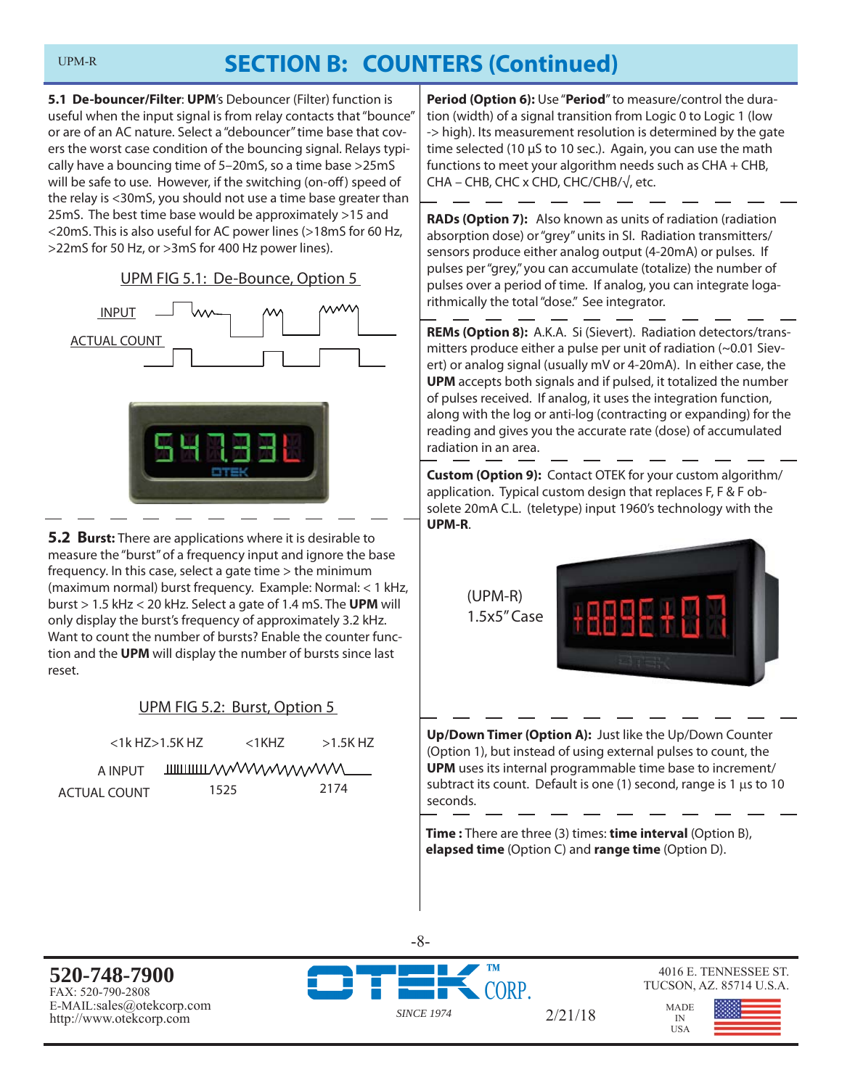# **SECTION B: COUNTERS (Continued)**

**5.1 De-bouncer/Filter**: **UPM**'s Debouncer (Filter) function is useful when the input signal is from relay contacts that "bounce" or are of an AC nature. Select a "debouncer" time base that covers the worst case condition of the bouncing signal. Relays typically have a bouncing time of 5–20mS, so a time base >25mS will be safe to use. However, if the switching (on-off) speed of the relay is <30mS, you should not use a time base greater than 25mS. The best time base would be approximately >15 and <20mS. This is also useful for AC power lines (>18mS for 60 Hz, >22mS for 50 Hz, or >3mS for 400 Hz power lines).

UPM FIG 5.1: De-Bounce, Option 5





**5.2 Burst:** There are applications where it is desirable to measure the "burst" of a frequency input and ignore the base frequency. In this case, select a gate time > the minimum (maximum normal) burst frequency. Example: Normal: < 1 kHz, burst > 1.5 kHz < 20 kHz. Select a gate of 1.4 mS. The **UPM** will only display the burst's frequency of approximately 3.2 kHz. Want to count the number of bursts? Enable the counter function and the **UPM** will display the number of bursts since last reset.

### UPM FIG 5.2: Burst, Option 5

| $<$ 1 $k$ HZ $>$ 1.5K HZ |  | <1KH7                           | $>1.5$ K HZ |
|--------------------------|--|---------------------------------|-------------|
| A INPUT                  |  | <b>THILITIONAL MANAWAYANTUR</b> |             |
| ACTUAL COUNT             |  | 1525                            | 2174        |

**Period (Option 6):** Use "**Period**" to measure/control the duration (width) of a signal transition from Logic 0 to Logic 1 (low -> high). Its measurement resolution is determined by the gate time selected (10 μS to 10 sec.). Again, you can use the math functions to meet your algorithm needs such as CHA + CHB, CHA – CHB, CHC x CHD, CHC/CHB/√, etc.

**RADs (Option 7):** Also known as units of radiation (radiation absorption dose) or "grey" units in SI. Radiation transmitters/ sensors produce either analog output (4-20mA) or pulses. If pulses per "grey," you can accumulate (totalize) the number of pulses over a period of time. If analog, you can integrate logarithmically the total "dose." See integrator.

**REMs (Option 8):** A.K.A. Si (Sievert). Radiation detectors/transmitters produce either a pulse per unit of radiation (~0.01 Sievert) or analog signal (usually mV or 4-20mA). In either case, the **UPM** accepts both signals and if pulsed, it totalized the number of pulses received. If analog, it uses the integration function, along with the log or anti-log (contracting or expanding) for the reading and gives you the accurate rate (dose) of accumulated radiation in an area.

**Custom (Option 9):** Contact OTEK for your custom algorithm/ application. Typical custom design that replaces F, F & F obsolete 20mA C.L. (teletype) input 1960's technology with the **UPM-R**.

> (UPM-R) 1.5x5" Case



**Up/Down Timer (Option A):** Just like the Up/Down Counter (Option 1), but instead of using external pulses to count, the **UPM** uses its internal programmable time base to increment/ subtract its count. Default is one (1) second, range is 1  $\mu$ s to 10 seconds.

**Time :** There are three (3) times: **time interval** (Option B), **elapsed time** (Option C) and **range time** (Option D).

**520-748-7900** FAX: 520-790-2808 E-MAIL:sales@otekcorp.com http://www.otekcorp.com *SINCE 1974*



-8-

#### 4016 E. TENNESSEE ST. TUCSON, AZ. 85714 U.S.A.

IN

2/21/18

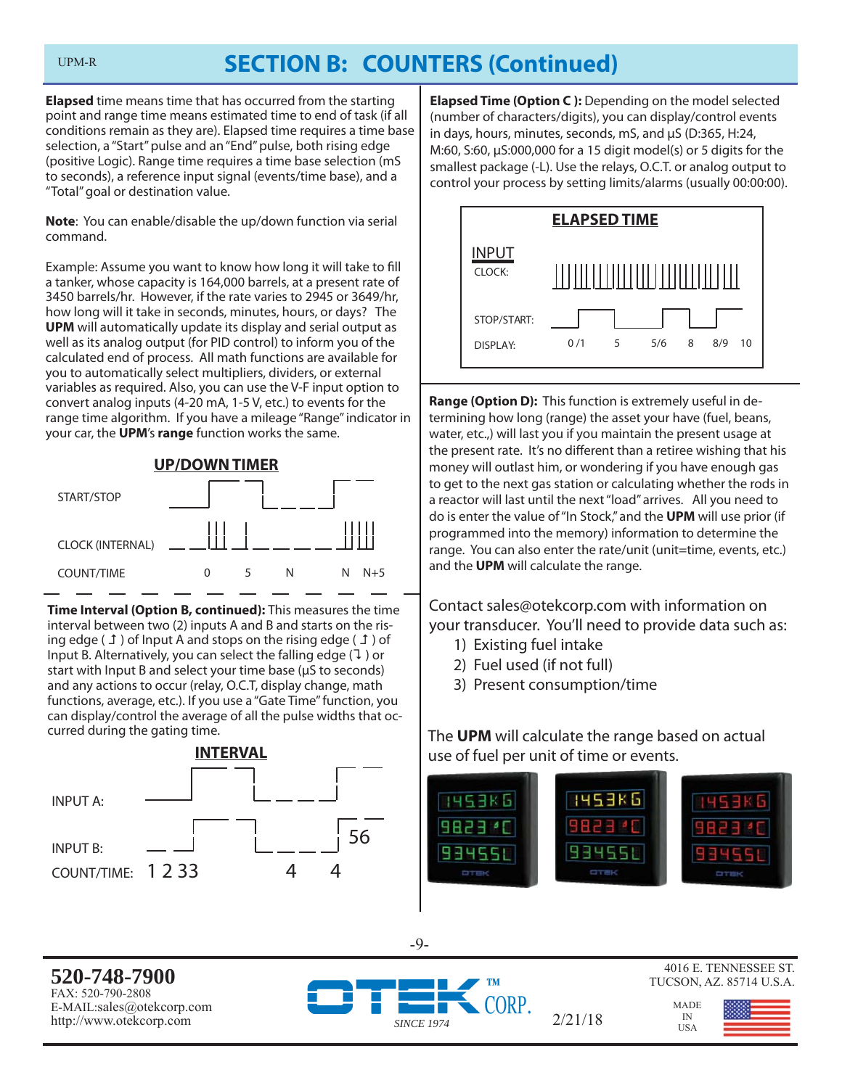# **SECTION B: COUNTERS (Continued)**

**Elapsed** time means time that has occurred from the starting point and range time means estimated time to end of task (if all conditions remain as they are). Elapsed time requires a time base selection, a "Start" pulse and an "End" pulse, both rising edge (positive Logic). Range time requires a time base selection (mS to seconds), a reference input signal (events/time base), and a "Total" goal or destination value.

**Note**: You can enable/disable the up/down function via serial command.

Example: Assume you want to know how long it will take to fill a tanker, whose capacity is 164,000 barrels, at a present rate of 3450 barrels/hr. However, if the rate varies to 2945 or 3649/hr, how long will it take in seconds, minutes, hours, or days? The **UPM** will automatically update its display and serial output as well as its analog output (for PID control) to inform you of the calculated end of process. All math functions are available for you to automatically select multipliers, dividers, or external variables as required. Also, you can use the V-F input option to convert analog inputs (4-20 mA, 1-5 V, etc.) to events for the range time algorithm. If you have a mileage "Range" indicator in your car, the **UPM**'s **range** function works the same.



**Time Interval (Option B, continued):** This measures the time interval between two (2) inputs A and B and starts on the rising edge ( $\perp$ ) of Input A and stops on the rising edge ( $\perp$ ) of Input B. Alternatively, you can select the falling edge  $(1)$  or start with Input B and select your time base (μS to seconds) and any actions to occur (relay, O.C.T, display change, math functions, average, etc.). If you use a "Gate Time" function, you can display/control the average of all the pulse widths that occurred during the gating time.



**Elapsed Time (Option C ):** Depending on the model selected (number of characters/digits), you can display/control events in days, hours, minutes, seconds, mS, and μS (D:365, H:24, M:60, S:60, μS:000,000 for a 15 digit model(s) or 5 digits for the smallest package (-L). Use the relays, O.C.T. or analog output to control your process by setting limits/alarms (usually 00:00:00).



**Range (Option D):** This function is extremely useful in determining how long (range) the asset your have (fuel, beans, water, etc.,) will last you if you maintain the present usage at the present rate. It's no different than a retiree wishing that his money will outlast him, or wondering if you have enough gas to get to the next gas station or calculating whether the rods in a reactor will last until the next "load" arrives. All you need to do is enter the value of "In Stock," and the **UPM** will use prior (if programmed into the memory) information to determine the range. You can also enter the rate/unit (unit=time, events, etc.) and the **UPM** will calculate the range.

Contact sales@otekcorp.com with information on your transducer. You'll need to provide data such as:

- 1) Existing fuel intake
- 2) Fuel used (if not full)
- 3) Present consumption/time

The **UPM** will calculate the range based on actual use of fuel per unit of time or events.



-9-

**520-748-7900** FAX: 520-790-2808 E-MAIL:sales@otekcorp.com http://www.otekcorp.com *SINCE 1974*



 $2/21/18$ 



4016 E. TENNESSEE ST. TUCSON, AZ. 85714 U.S.A.

> MADE IN<br>USA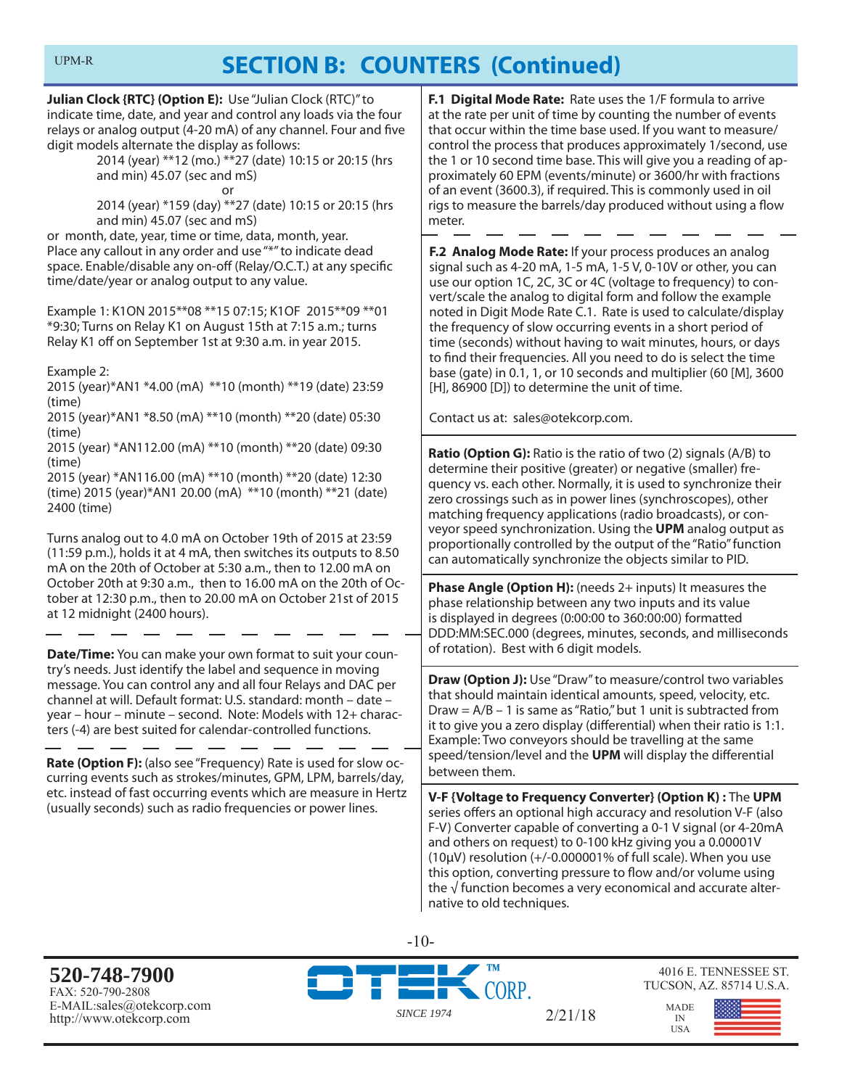# **SECTION B: COUNTERS (Continued)**

**Julian Clock {RTC} (Option E):** Use "Julian Clock (RTC)" to indicate time, date, and year and control any loads via the four relays or analog output (4-20 mA) of any channel. Four and five digit models alternate the display as follows:

 2014 (year) \*\*12 (mo.) \*\*27 (date) 10:15 or 20:15 (hrs and min) 45.07 (sec and mS)

or

 2014 (year) \*159 (day) \*\*27 (date) 10:15 or 20:15 (hrs and min) 45.07 (sec and mS)

or month, date, year, time or time, data, month, year. Place any callout in any order and use "\*" to indicate dead space. Enable/disable any on-off (Relay/O.C.T.) at any specific time/date/year or analog output to any value.

Example 1: K1ON 2015\*\*08 \*\*15 07:15; K1OF 2015\*\*09 \*\*01 \*9:30; Turns on Relay K1 on August 15th at 7:15 a.m.; turns Relay K1 off on September 1st at 9:30 a.m. in year 2015.

Example 2:

2015 (year)\*AN1 \*4.00 (mA) \*\*10 (month) \*\*19 (date) 23:59 (time)

2015 (year)\*AN1 \*8.50 (mA) \*\*10 (month) \*\*20 (date) 05:30 (time)

2015 (year) \*AN112.00 (mA) \*\*10 (month) \*\*20 (date) 09:30 (time)

2015 (year) \*AN116.00 (mA) \*\*10 (month) \*\*20 (date) 12:30 (time) 2015 (year)\*AN1 20.00 (mA) \*\*10 (month) \*\*21 (date) 2400 (time)

Turns analog out to 4.0 mA on October 19th of 2015 at 23:59 (11:59 p.m.), holds it at 4 mA, then switches its outputs to 8.50 mA on the 20th of October at 5:30 a.m., then to 12.00 mA on October 20th at 9:30 a.m., then to 16.00 mA on the 20th of October at 12:30 p.m., then to 20.00 mA on October 21st of 2015 at 12 midnight (2400 hours).

**Date/Time:** You can make your own format to suit your country's needs. Just identify the label and sequence in moving message. You can control any and all four Relays and DAC per channel at will. Default format: U.S. standard: month – date – year – hour – minute – second. Note: Models with 12+ characters (-4) are best suited for calendar-controlled functions.

**Rate (Option F):** (also see "Frequency) Rate is used for slow occurring events such as strokes/minutes, GPM, LPM, barrels/day, etc. instead of fast occurring events which are measure in Hertz (usually seconds) such as radio frequencies or power lines.

**F.1 Digital Mode Rate:** Rate uses the 1/F formula to arrive at the rate per unit of time by counting the number of events that occur within the time base used. If you want to measure/ control the process that produces approximately 1/second, use the 1 or 10 second time base. This will give you a reading of approximately 60 EPM (events/minute) or 3600/hr with fractions of an event (3600.3), if required. This is commonly used in oil rigs to measure the barrels/day produced without using a flow meter.

**F.2 Analog Mode Rate:** If your process produces an analog signal such as 4-20 mA, 1-5 mA, 1-5 V, 0-10V or other, you can use our option 1C, 2C, 3C or 4C (voltage to frequency) to convert/scale the analog to digital form and follow the example noted in Digit Mode Rate C.1. Rate is used to calculate/display the frequency of slow occurring events in a short period of time (seconds) without having to wait minutes, hours, or days to find their frequencies. All you need to do is select the time base (gate) in 0.1, 1, or 10 seconds and multiplier (60 [M], 3600 [H], 86900 [D]) to determine the unit of time.

Contact us at: sales@otekcorp.com.

**Ratio (Option G):** Ratio is the ratio of two (2) signals (A/B) to determine their positive (greater) or negative (smaller) frequency vs. each other. Normally, it is used to synchronize their zero crossings such as in power lines (synchroscopes), other matching frequency applications (radio broadcasts), or conveyor speed synchronization. Using the **UPM** analog output as proportionally controlled by the output of the "Ratio" function can automatically synchronize the objects similar to PID.

**Phase Angle (Option H):** (needs 2+ inputs) It measures the phase relationship between any two inputs and its value is displayed in degrees (0:00:00 to 360:00:00) formatted DDD:MM:SEC.000 (degrees, minutes, seconds, and milliseconds of rotation). Best with 6 digit models.

**Draw (Option J):** Use "Draw" to measure/control two variables that should maintain identical amounts, speed, velocity, etc. Draw =  $A/B - 1$  is same as "Ratio," but 1 unit is subtracted from it to give you a zero display (differential) when their ratio is 1:1. Example: Two conveyors should be travelling at the same speed/tension/level and the UPM will display the differential between them.

**V-F {Voltage to Frequency Converter} (Option K) :** The **UPM** series offers an optional high accuracy and resolution V-F (also F-V) Converter capable of converting a 0-1 V signal (or 4-20mA and others on request) to 0-100 kHz giving you a 0.00001V ( $10\mu$ V) resolution (+/-0.000001% of full scale). When you use this option, converting pressure to flow and/or volume using the  $\sqrt{ }$  function becomes a very economical and accurate alternative to old techniques.

**520-748-7900** FAX: 520-790-2808 E-MAIL:sales@otekcorp.com http://www.otekcorp.com *SINCE 1974*



-10-

4016 E. TENNESSEE ST. TUCSON, AZ. 85714 U.S.A.

MADE IN USA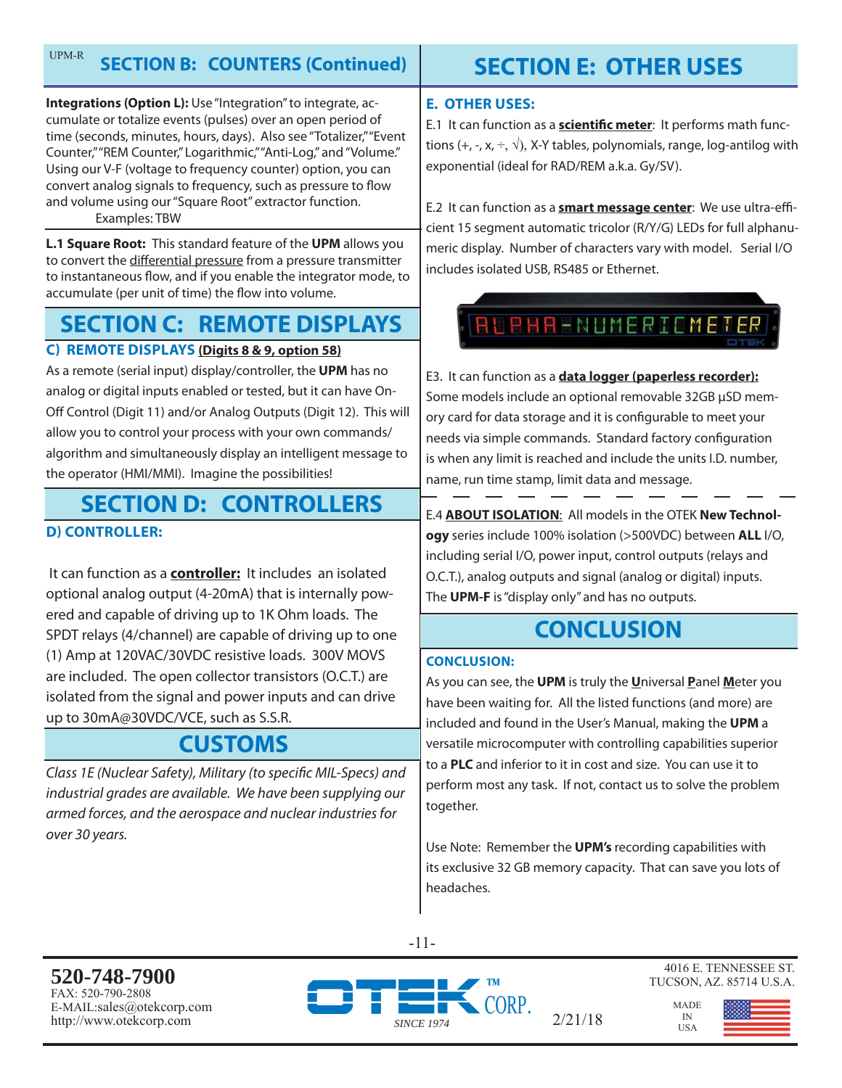#### **SECTION B: COUNTERS (Continued)**  UPM-R

**Integrations (Option L):** Use "Integration" to integrate, accumulate or totalize events (pulses) over an open period of time (seconds, minutes, hours, days). Also see "Totalizer," "Event Counter," "REM Counter," Logarithmic," "Anti-Log," and "Volume." Using our V-F (voltage to frequency counter) option, you can convert analog signals to frequency, such as pressure to flow and volume using our "Square Root" extractor function. Examples: TBW

**L.1 Square Root:** This standard feature of the **UPM** allows you to convert the differential pressure from a pressure transmitter to instantaneous flow, and if you enable the integrator mode, to accumulate (per unit of time) the flow into volume.

# **SECTION C: REMOTE DISPLAYS**

### **C) REMOTE DISPLAYS (Digits 8 & 9, option 58)**

As a remote (serial input) display/controller, the **UPM** has no analog or digital inputs enabled or tested, but it can have On-Off Control (Digit 11) and/or Analog Outputs (Digit 12). This will allow you to control your process with your own commands/ algorithm and simultaneously display an intelligent message to the operator (HMI/MMI). Imagine the possibilities!

# **SECTION D: CONTROLLERS**

### **D) CONTROLLER:**

 It can function as a **controller:** It includes an isolated optional analog output (4-20mA) that is internally powered and capable of driving up to 1K Ohm loads. The SPDT relays (4/channel) are capable of driving up to one (1) Amp at 120VAC/30VDC resistive loads. 300V MOVS are included. The open collector transistors (O.C.T.) are isolated from the signal and power inputs and can drive up to 30mA@30VDC/VCE, such as S.S.R.

# **CUSTOMS**

Class 1E (Nuclear Safety), Military (to specific MIL-Specs) and industrial grades are available. We have been supplying our armed forces, and the aerospace and nuclear industries for over 30 years.

# **SECTION E: OTHER USES**

### **E. OTHER USES:**

E.1 It can function as a **scientific meter**: It performs math functions  $(+, -, x, \div, \sqrt{x})$ , X-Y tables, polynomials, range, log-antilog with exponential (ideal for RAD/REM a.k.a. Gy/SV).

E.2 It can function as a **smart message center**: We use ultra-efficient 15 segment automatic tricolor (R/Y/G) LEDs for full alphanumeric display. Number of characters vary with model. Serial I/O includes isolated USB, RS485 or Ethernet.



E3. It can function as a **data logger (paperless recorder):** Some models include an optional removable 32GB μSD memory card for data storage and it is configurable to meet your needs via simple commands. Standard factory configuration is when any limit is reached and include the units I.D. number, name, run time stamp, limit data and message.

E.4 **ABOUT ISOLATION**: All models in the OTEK **New Technology** series include 100% isolation (>500VDC) between **ALL** I/O, including serial I/O, power input, control outputs (relays and O.C.T.), analog outputs and signal (analog or digital) inputs. The **UPM-F** is "display only" and has no outputs.

# **CONCLUSION**

### **CONCLUSION:**

As you can see, the **UPM** is truly the **U**niversal **P**anel **M**eter you have been waiting for. All the listed functions (and more) are included and found in the User's Manual, making the **UPM** a versatile microcomputer with controlling capabilities superior to a **PLC** and inferior to it in cost and size. You can use it to perform most any task. If not, contact us to solve the problem together.

Use Note: Remember the **UPM's** recording capabilities with its exclusive 32 GB memory capacity. That can save you lots of headaches.

 $2/21/18$ 

-11-

**520-748-7900** FAX: 520-790-2808 E-MAIL:sales@otekcorp.com http://www.otekcorp.com *SINCE 1974*



4016 E. TENNESSEE ST. TUCSON, AZ. 85714 U.S.A.

> MADE IN<br>USA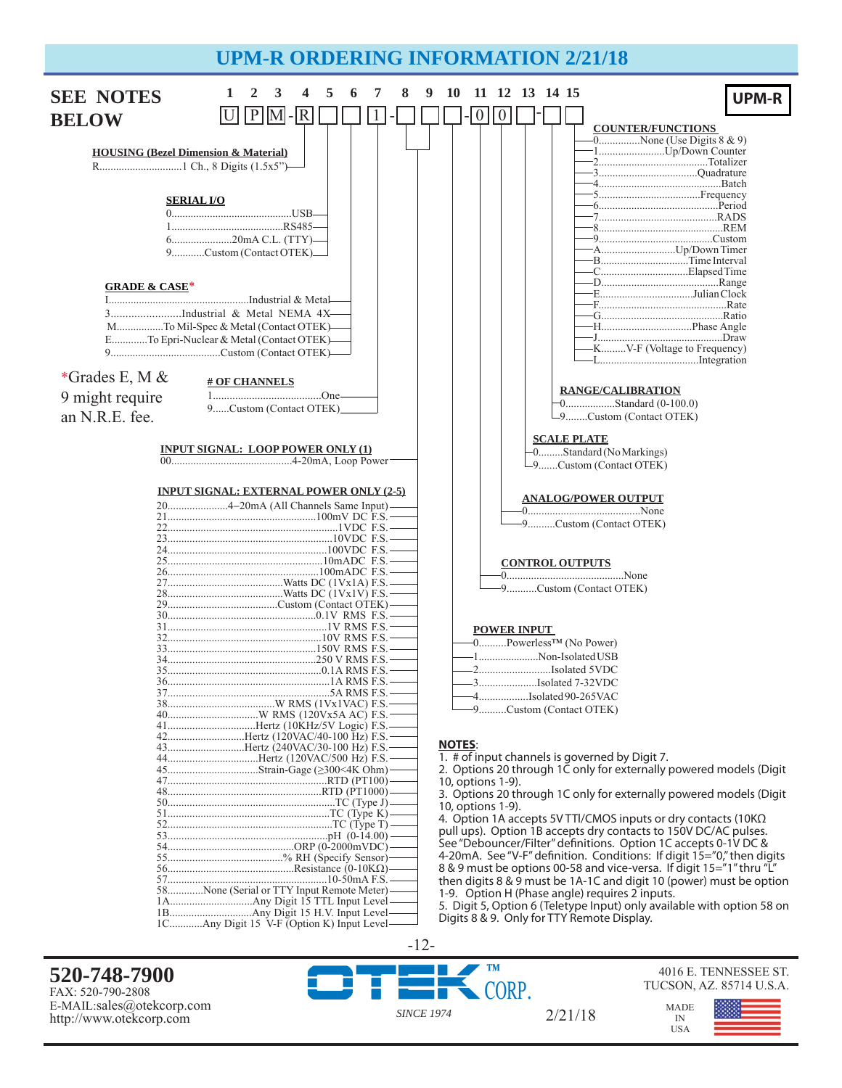# **UPM-R ORDERING INFORMATION 2/21/18**



**520-748-7900** FAX: 520-790-2808 E-MAIL:sales@otekcorp.com http://www.otekcorp.com *SINCE 1974*

2/21/18

**TM** CORP.



4016 E. TENNESSEE ST.